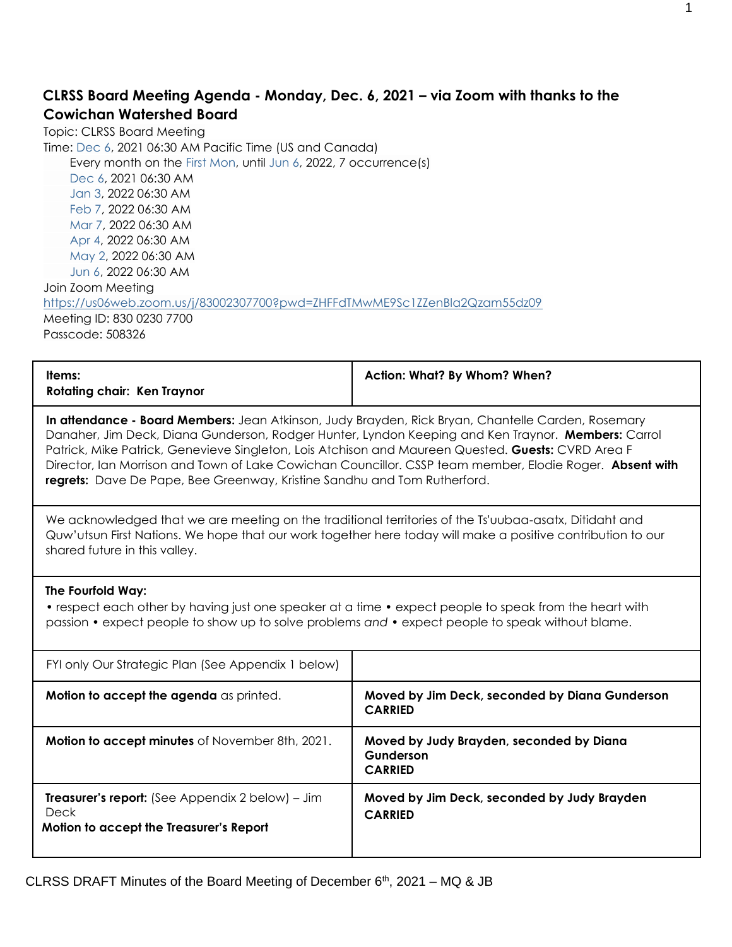### **CLRSS Board Meeting Agenda - Monday, Dec. 6, 2021 – via Zoom with thanks to the Cowichan Watershed Board**

Topic: CLRSS Board Meeting Time: Dec 6, 2021 06:30 AM Pacific Time (US and Canada) Every month on the First Mon, until Jun 6, 2022, 7 occurrence(s) Dec 6, 2021 06:30 AM Jan 3, 2022 06:30 AM Feb 7, 2022 06:30 AM Mar 7, 2022 06:30 AM Apr 4, 2022 06:30 AM May 2, 2022 06:30 AM Jun 6, 2022 06:30 AM Join Zoom Meeting <https://us06web.zoom.us/j/83002307700?pwd=ZHFFdTMwME9Sc1ZZenBla2Qzam55dz09> Meeting ID: 830 0230 7700 Passcode: 508326

| Rotating chair: Ken Traynor | Items: | Action: What? By Whom? When? |
|-----------------------------|--------|------------------------------|
|-----------------------------|--------|------------------------------|

**In attendance - Board Members:** Jean Atkinson, Judy Brayden, Rick Bryan, Chantelle Carden, Rosemary Danaher, Jim Deck, Diana Gunderson, Rodger Hunter, Lyndon Keeping and Ken Traynor. **Members:** Carrol Patrick, Mike Patrick, Genevieve Singleton, Lois Atchison and Maureen Quested. **Guests:** CVRD Area F Director, Ian Morrison and Town of Lake Cowichan Councillor. CSSP team member, Elodie Roger. **Absent with regrets:** Dave De Pape, Bee Greenway, Kristine Sandhu and Tom Rutherford.

We acknowledged that we are meeting on the traditional territories of the Ts'uubaa-asatx, Ditidaht and Quw'utsun First Nations. We hope that our work together here today will make a positive contribution to our shared future in this valley.

#### **The Fourfold Way:**

• respect each other by having just one speaker at a time • expect people to speak from the heart with passion • expect people to show up to solve problems *and* • expect people to speak without blame.

| FYI only Our Strategic Plan (See Appendix 1 below)                                                         |                                                                         |
|------------------------------------------------------------------------------------------------------------|-------------------------------------------------------------------------|
| <b>Motion to accept the agenda</b> as printed.                                                             | Moved by Jim Deck, seconded by Diana Gunderson<br><b>CARRIED</b>        |
| <b>Motion to accept minutes</b> of November 8th, 2021.                                                     | Moved by Judy Brayden, seconded by Diana<br>Gunderson<br><b>CARRIED</b> |
| <b>Treasurer's report:</b> (See Appendix 2 below) – Jim<br>Deck<br>Motion to accept the Treasurer's Report | Moved by Jim Deck, seconded by Judy Brayden<br><b>CARRIED</b>           |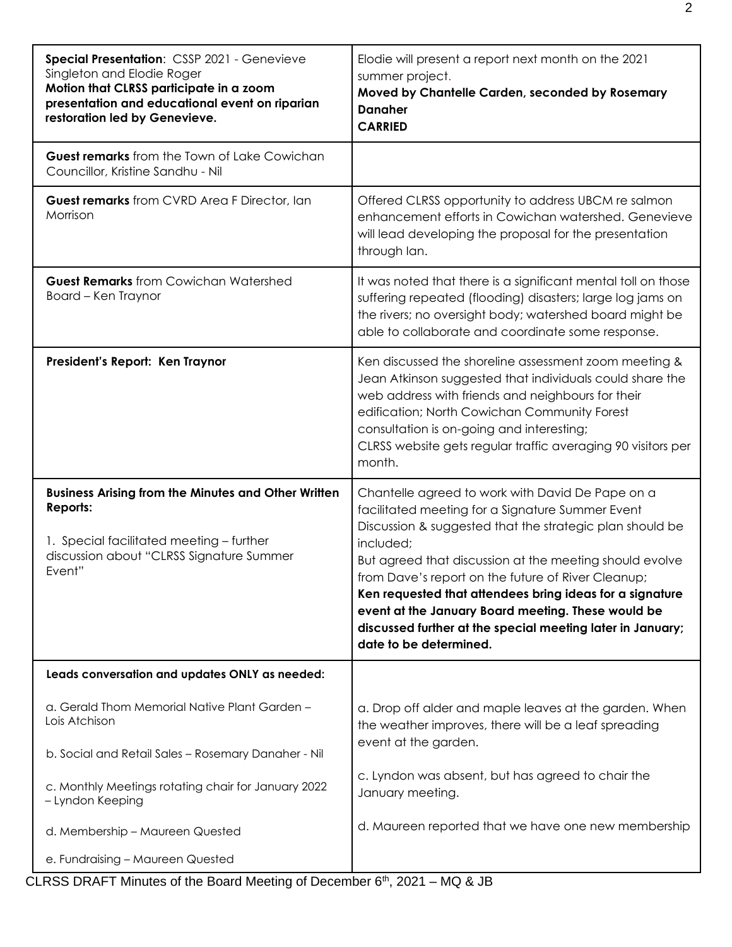| Special Presentation: CSSP 2021 - Genevieve<br>Singleton and Elodie Roger<br>Motion that CLRSS participate in a zoom<br>presentation and educational event on riparian<br>restoration led by Genevieve. | Elodie will present a report next month on the 2021<br>summer project.<br>Moved by Chantelle Carden, seconded by Rosemary<br><b>Danaher</b><br><b>CARRIED</b>                                                                                                                                                                                                                                                                                                                                            |  |  |
|---------------------------------------------------------------------------------------------------------------------------------------------------------------------------------------------------------|----------------------------------------------------------------------------------------------------------------------------------------------------------------------------------------------------------------------------------------------------------------------------------------------------------------------------------------------------------------------------------------------------------------------------------------------------------------------------------------------------------|--|--|
| <b>Guest remarks</b> from the Town of Lake Cowichan<br>Councillor, Kristine Sandhu - Nil                                                                                                                |                                                                                                                                                                                                                                                                                                                                                                                                                                                                                                          |  |  |
| Guest remarks from CVRD Area F Director, Ian<br>Morrison                                                                                                                                                | Offered CLRSS opportunity to address UBCM re salmon<br>enhancement efforts in Cowichan watershed. Genevieve<br>will lead developing the proposal for the presentation<br>through lan.                                                                                                                                                                                                                                                                                                                    |  |  |
| <b>Guest Remarks</b> from Cowichan Watershed<br>Board - Ken Traynor                                                                                                                                     | It was noted that there is a significant mental toll on those<br>suffering repeated (flooding) disasters; large log jams on<br>the rivers; no oversight body; watershed board might be<br>able to collaborate and coordinate some response.                                                                                                                                                                                                                                                              |  |  |
| President's Report: Ken Traynor                                                                                                                                                                         | Ken discussed the shoreline assessment zoom meeting &<br>Jean Atkinson suggested that individuals could share the<br>web address with friends and neighbours for their<br>edification; North Cowichan Community Forest<br>consultation is on-going and interesting;<br>CLRSS website gets regular traffic averaging 90 visitors per<br>month.                                                                                                                                                            |  |  |
| <b>Business Arising from the Minutes and Other Written</b><br>Reports:<br>1. Special facilitated meeting - further<br>discussion about "CLRSS Signature Summer<br>Event"                                | Chantelle agreed to work with David De Pape on a<br>facilitated meeting for a Signature Summer Event<br>Discussion & suggested that the strategic plan should be<br>included;<br>But agreed that discussion at the meeting should evolve<br>from Dave's report on the future of River Cleanup;<br>Ken requested that attendees bring ideas for a signature<br>event at the January Board meeting. These would be<br>discussed further at the special meeting later in January;<br>date to be determined. |  |  |
| Leads conversation and updates ONLY as needed:                                                                                                                                                          |                                                                                                                                                                                                                                                                                                                                                                                                                                                                                                          |  |  |
| a. Gerald Thom Memorial Native Plant Garden -<br>Lois Atchison<br>b. Social and Retail Sales - Rosemary Danaher - Nil                                                                                   | a. Drop off alder and maple leaves at the garden. When<br>the weather improves, there will be a leaf spreading<br>event at the garden.                                                                                                                                                                                                                                                                                                                                                                   |  |  |
| c. Monthly Meetings rotating chair for January 2022<br>- Lyndon Keeping                                                                                                                                 | c. Lyndon was absent, but has agreed to chair the<br>January meeting.                                                                                                                                                                                                                                                                                                                                                                                                                                    |  |  |
| d. Membership - Maureen Quested                                                                                                                                                                         | d. Maureen reported that we have one new membership                                                                                                                                                                                                                                                                                                                                                                                                                                                      |  |  |
| e. Fundraising - Maureen Quested                                                                                                                                                                        |                                                                                                                                                                                                                                                                                                                                                                                                                                                                                                          |  |  |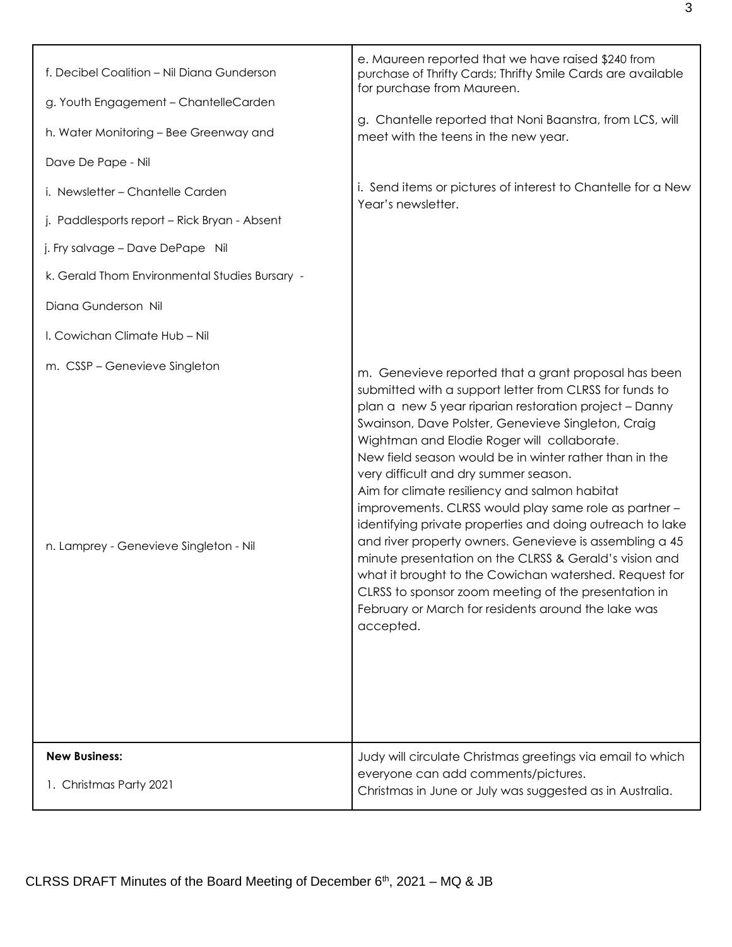| f. Decibel Coalition - Nil Diana Gunderson<br>g. Youth Engagement - ChantelleCarden<br>h. Water Monitoring - Bee Greenway and<br>Dave De Pape - Nil<br>i. Newsletter - Chantelle Carden<br>j. Paddlesports report - Rick Bryan - Absent<br>j. Fry salvage - Dave DePape Nil<br>k. Gerald Thom Environmental Studies Bursary -<br>Diana Gunderson Nil<br>I. Cowichan Climate Hub - Nil<br>m. CSSP - Genevieve Singleton<br>n. Lamprey - Genevieve Singleton - Nil | e. Maureen reported that we have raised \$240 from<br>purchase of Thrifty Cards; Thrifty Smile Cards are available<br>for purchase from Maureen.<br>g. Chantelle reported that Noni Baanstra, from LCS, will<br>meet with the teens in the new year.<br>i. Send items or pictures of interest to Chantelle for a New<br>Year's newsletter.<br>m. Genevieve reported that a grant proposal has been<br>submitted with a support letter from CLRSS for funds to<br>plan a new 5 year riparian restoration project - Danny<br>Swainson, Dave Polster, Genevieve Singleton, Craig<br>Wightman and Elodie Roger will collaborate.<br>New field season would be in winter rather than in the<br>very difficult and dry summer season.<br>Aim for climate resiliency and salmon habitat<br>improvements. CLRSS would play same role as partner -<br>identifying private properties and doing outreach to lake<br>and river property owners. Genevieve is assembling a 45<br>minute presentation on the CLRSS & Gerald's vision and<br>what it brought to the Cowichan watershed. Request for<br>CLRSS to sponsor zoom meeting of the presentation in<br>February or March for residents around the lake was<br>accepted. |
|------------------------------------------------------------------------------------------------------------------------------------------------------------------------------------------------------------------------------------------------------------------------------------------------------------------------------------------------------------------------------------------------------------------------------------------------------------------|-------------------------------------------------------------------------------------------------------------------------------------------------------------------------------------------------------------------------------------------------------------------------------------------------------------------------------------------------------------------------------------------------------------------------------------------------------------------------------------------------------------------------------------------------------------------------------------------------------------------------------------------------------------------------------------------------------------------------------------------------------------------------------------------------------------------------------------------------------------------------------------------------------------------------------------------------------------------------------------------------------------------------------------------------------------------------------------------------------------------------------------------------------------------------------------------------------------------|
| <b>New Business:</b><br>1. Christmas Party 2021                                                                                                                                                                                                                                                                                                                                                                                                                  | Judy will circulate Christmas greetings via email to which<br>everyone can add comments/pictures.                                                                                                                                                                                                                                                                                                                                                                                                                                                                                                                                                                                                                                                                                                                                                                                                                                                                                                                                                                                                                                                                                                                 |
|                                                                                                                                                                                                                                                                                                                                                                                                                                                                  | Christmas in June or July was suggested as in Australia.                                                                                                                                                                                                                                                                                                                                                                                                                                                                                                                                                                                                                                                                                                                                                                                                                                                                                                                                                                                                                                                                                                                                                          |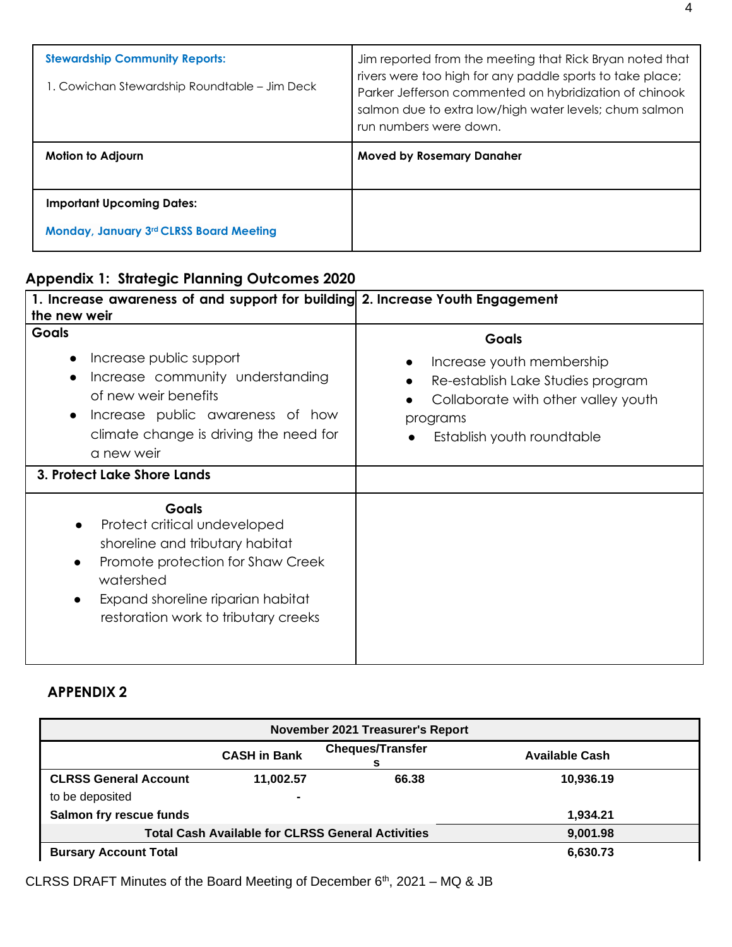| <b>Stewardship Community Reports:</b><br>1. Cowichan Stewardship Roundtable – Jim Deck | Jim reported from the meeting that Rick Bryan noted that<br>rivers were too high for any paddle sports to take place;<br>Parker Jefferson commented on hybridization of chinook<br>salmon due to extra low/high water levels; chum salmon<br>run numbers were down. |  |  |
|----------------------------------------------------------------------------------------|---------------------------------------------------------------------------------------------------------------------------------------------------------------------------------------------------------------------------------------------------------------------|--|--|
| Motion to Adjourn                                                                      | <b>Moved by Rosemary Danaher</b>                                                                                                                                                                                                                                    |  |  |
| <b>Important Upcoming Dates:</b><br><b>Monday, January 3rd CLRSS Board Meeting</b>     |                                                                                                                                                                                                                                                                     |  |  |

# **Appendix 1: Strategic Planning Outcomes 2020**

| 1. Increase awareness of and support for building 2. Increase Youth Engagement<br>the new weir                                                                                                                                           |                                                                                                                                                                 |
|------------------------------------------------------------------------------------------------------------------------------------------------------------------------------------------------------------------------------------------|-----------------------------------------------------------------------------------------------------------------------------------------------------------------|
| <b>Goals</b><br>Increase public support<br>$\bullet$<br>Increase community understanding<br>$\bullet$<br>of new weir benefits<br>Increase public awareness of how<br>$\bullet$<br>climate change is driving the need for<br>a new weir   | <b>Goals</b><br>Increase youth membership<br>Re-establish Lake Studies program<br>Collaborate with other valley youth<br>programs<br>Establish youth roundtable |
| 3. Protect Lake Shore Lands                                                                                                                                                                                                              |                                                                                                                                                                 |
| <b>Goals</b><br>Protect critical undeveloped<br>shoreline and tributary habitat<br>Promote protection for Shaw Creek<br>$\bullet$<br>watershed<br>Expand shoreline riparian habitat<br>$\bullet$<br>restoration work to tributary creeks |                                                                                                                                                                 |

## **APPENDIX 2**

| November 2021 Treasurer's Report                         |                     |                              |                       |  |
|----------------------------------------------------------|---------------------|------------------------------|-----------------------|--|
|                                                          | <b>CASH in Bank</b> | <b>Cheques/Transfer</b><br>s | <b>Available Cash</b> |  |
| <b>CLRSS General Account</b>                             | 11,002.57           | 66.38                        | 10,936.19             |  |
| to be deposited                                          | ۰                   |                              |                       |  |
| Salmon fry rescue funds                                  |                     |                              | 1,934.21              |  |
| <b>Total Cash Available for CLRSS General Activities</b> |                     |                              | 9,001.98              |  |
| <b>Bursary Account Total</b>                             |                     |                              | 6,630.73              |  |

CLRSS DRAFT Minutes of the Board Meeting of December 6<sup>th</sup>, 2021 – MQ & JB